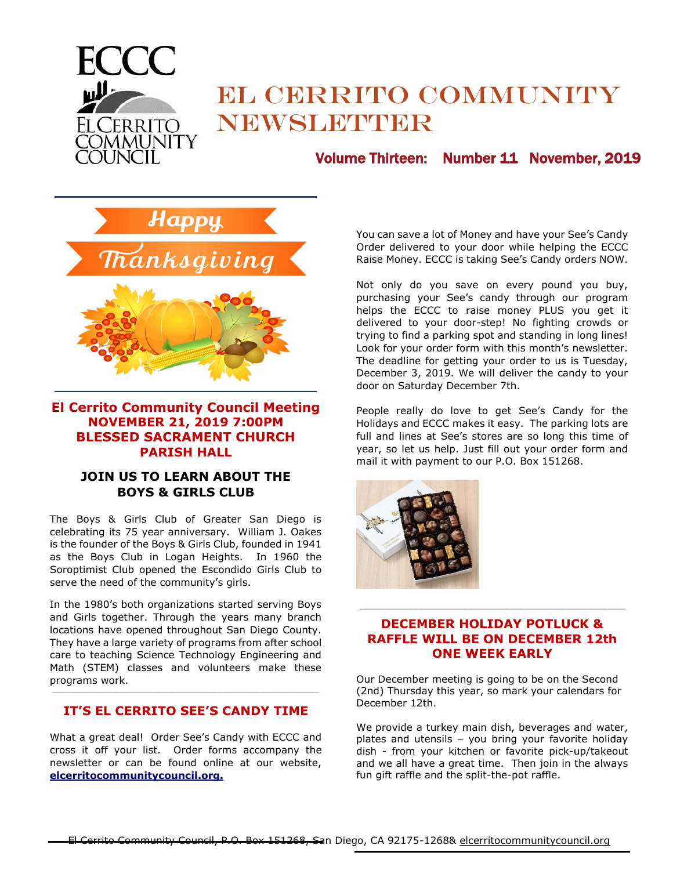

# EL CERRITO COMMUNITY NEWSLETTER

# Volume Thirteen: Number 11 November, 2019



**\_\_\_\_\_\_\_\_\_\_\_\_\_\_\_\_\_\_\_\_\_\_\_\_\_\_\_\_\_\_\_\_\_\_\_\_\_\_\_\_\_\_\_\_\_\_\_\_**

## **El Cerrito Community Council Meeting NOVEMBER 21, 2019 7:00PM BLESSED SACRAMENT CHURCH PARISH HALL**

#### **JOIN US TO LEARN ABOUT THE BOYS & GIRLS CLUB**

The Boys & Girls Club of Greater San Diego is celebrating its 75 year anniversary. William J. Oakes is the founder of the Boys & Girls Club, founded in 1941 as the Boys Club in Logan Heights. In 1960 the Soroptimist Club opened the Escondido Girls Club to serve the need of the community's girls.

In the 1980's both organizations started serving Boys and Girls together. Through the years many branch locations have opened throughout San Diego County. They have a large variety of programs from after school care to teaching Science Technology Engineering and Math (STEM) classes and volunteers make these programs work.

## $\mathcal{L}_\text{max}$ **IT'S EL CERRITO SEE'S CANDY TIME**

What a great deal! Order See's Candy with ECCC and cross it off your list. Order forms accompany the newsletter or can be found online at our website, **elcerritocommunitycouncil.org.**

You can save a lot of Money and have your See's Candy Order delivered to your door while helping the ECCC Raise Money. ECCC is taking See's Candy orders NOW.

Not only do you save on every pound you buy, purchasing your See's candy through our program helps the ECCC to raise money PLUS you get it delivered to your door-step! No fighting crowds or trying to find a parking spot and standing in long lines! Look for your order form with this month's newsletter. The deadline for getting your order to us is Tuesday, December 3, 2019. We will deliver the candy to your door on Saturday December 7th.

People really do love to get See's Candy for the Holidays and ECCC makes it easy. The parking lots are full and lines at See's stores are so long this time of year, so let us help. Just fill out your order form and mail it with payment to our P.O. Box 151268.



## **DECEMBER HOLIDAY POTLUCK & RAFFLE WILL BE ON DECEMBER 12th ONE WEEK EARLY**

 $\_$  , and the set of the set of the set of the set of the set of the set of the set of the set of the set of the set of the set of the set of the set of the set of the set of the set of the set of the set of the set of th

Our December meeting is going to be on the Second (2nd) Thursday this year, so mark your calendars for December 12th.

We provide a turkey main dish, beverages and water, plates and utensils – you bring your favorite holiday dish - from your kitchen or favorite pick-up/takeout and we all have a great time. Then join in the always fun gift raffle and the split-the-pot raffle.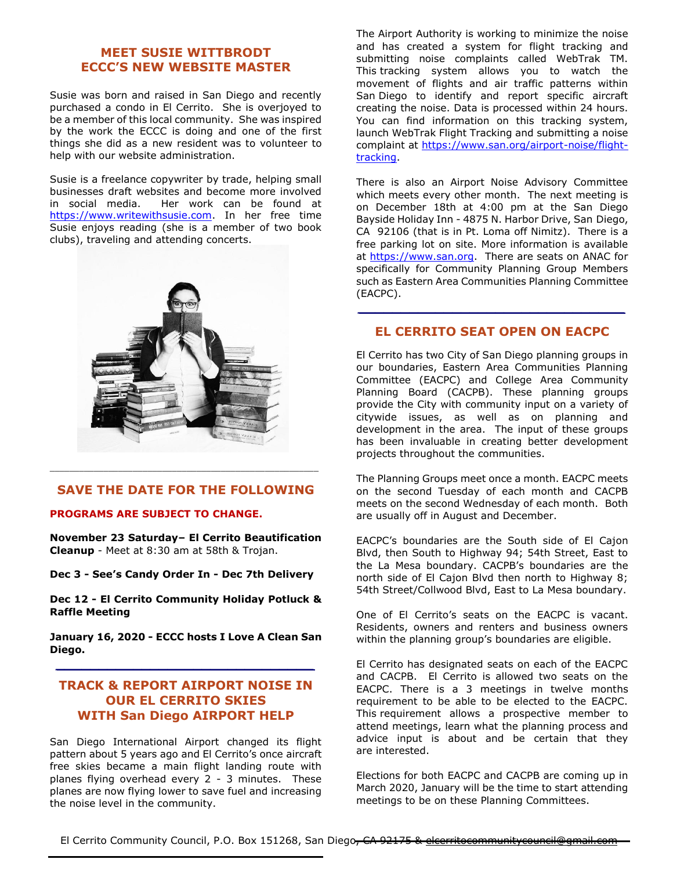#### **MEET SUSIE WITTBRODT ECCC'S NEW WEBSITE MASTER**

Susie was born and raised in San Diego and recently purchased a condo in El Cerrito. She is overjoyed to be a member of this local community. She was inspired by the work the ECCC is doing and one of the first things she did as a new resident was to volunteer to help with our website administration.

Susie is a freelance copywriter by trade, helping small businesses draft websites and become more involved in social media. Her work can be found at [https://www.writewithsusie.com.](https://www.writewithsusie.com/) In her free time Susie enjoys reading (she is a member of two book clubs), traveling and attending concerts.



#### **SAVE THE DATE FOR THE FOLLOWING**

 $\mathcal{L}_\text{max}$  and  $\mathcal{L}_\text{max}$  and  $\mathcal{L}_\text{max}$  and  $\mathcal{L}_\text{max}$  and  $\mathcal{L}_\text{max}$  and  $\mathcal{L}_\text{max}$ 

#### **PROGRAMS ARE SUBJECT TO CHANGE.**

**November 23 Saturday– El Cerrito Beautification Cleanup** - Meet at 8:30 am at 58th & Trojan.

**Dec 3 - See's Candy Order In - Dec 7th Delivery**

**Dec 12 - El Cerrito Community Holiday Potluck & Raffle Meeting**

**January 16, 2020 - ECCC hosts I Love A Clean San Diego.** *\_\_\_\_\_\_\_\_\_\_\_\_\_\_\_\_\_\_\_\_\_\_\_\_\_\_\_\_\_\_*

## **TRACK & REPORT AIRPORT NOISE IN OUR EL CERRITO SKIES WITH San Diego AIRPORT HELP**

San Diego International Airport changed its flight pattern about 5 years ago and El Cerrito's once aircraft free skies became a main flight landing route with planes flying overhead every 2 - 3 minutes. These planes are now flying lower to save fuel and increasing the noise level in the community.

The Airport Authority is working to minimize the noise and has created a system for flight tracking and submitting noise complaints called WebTrak TM. This tracking system allows you to watch the movement of flights and air traffic patterns within San Diego to identify and report specific aircraft creating the noise. Data is processed within 24 hours. You can find information on this tracking system, launch WebTrak Flight Tracking and submitting a noise complaint at [https://www.san.org/airport-noise/flight](https://www.san.org/airport-noise/flight-tracking)[tracking.](https://www.san.org/airport-noise/flight-tracking)

There is also an Airport Noise Advisory Committee which meets every other month. The next meeting is on December 18th at 4:00 pm at the San Diego Bayside Holiday Inn - 4875 N. Harbor Drive, San Diego, CA 92106 (that is in Pt. Loma off Nimitz). There is a free parking lot on site. More information is available at [https://www.san.org.](https://www.san.org/) There are seats on ANAC for specifically for Community Planning Group Members such as Eastern Area Communities Planning Committee (EACPC).

#### **EL CERRITO SEAT OPEN ON EACPC**

*\_\_\_\_\_\_\_\_\_\_\_\_\_\_\_\_\_\_\_\_\_\_\_\_\_\_\_\_\_\_\_*

El Cerrito has two City of San Diego planning groups in our boundaries, Eastern Area Communities Planning Committee (EACPC) and College Area Community Planning Board (CACPB). These planning groups provide the City with community input on a variety of citywide issues, as well as on planning and development in the area. The input of these groups has been invaluable in creating better development projects throughout the communities.

The Planning Groups meet once a month. EACPC meets on the second Tuesday of each month and CACPB meets on the second Wednesday of each month. Both are usually off in August and December.

EACPC's boundaries are the South side of El Cajon Blvd, then South to Highway 94; 54th Street, East to the La Mesa boundary. CACPB's boundaries are the north side of El Cajon Blvd then north to Highway 8; 54th Street/Collwood Blvd, East to La Mesa boundary.

One of El Cerrito's seats on the EACPC is vacant. Residents, owners and renters and business owners within the planning group's boundaries are eligible.

El Cerrito has designated seats on each of the EACPC and CACPB. El Cerrito is allowed two seats on the EACPC. There is a 3 meetings in twelve months requirement to be able to be elected to the EACPC. This requirement allows a prospective member to attend meetings, learn what the planning process and advice input is about and be certain that they are interested.

Elections for both EACPC and CACPB are coming up in March 2020, January will be the time to start attending meetings to be on these Planning Committees.

El Cerrito Community Council, P.O. Box 151268, San Diego, CA 92175 & eleerritocommunit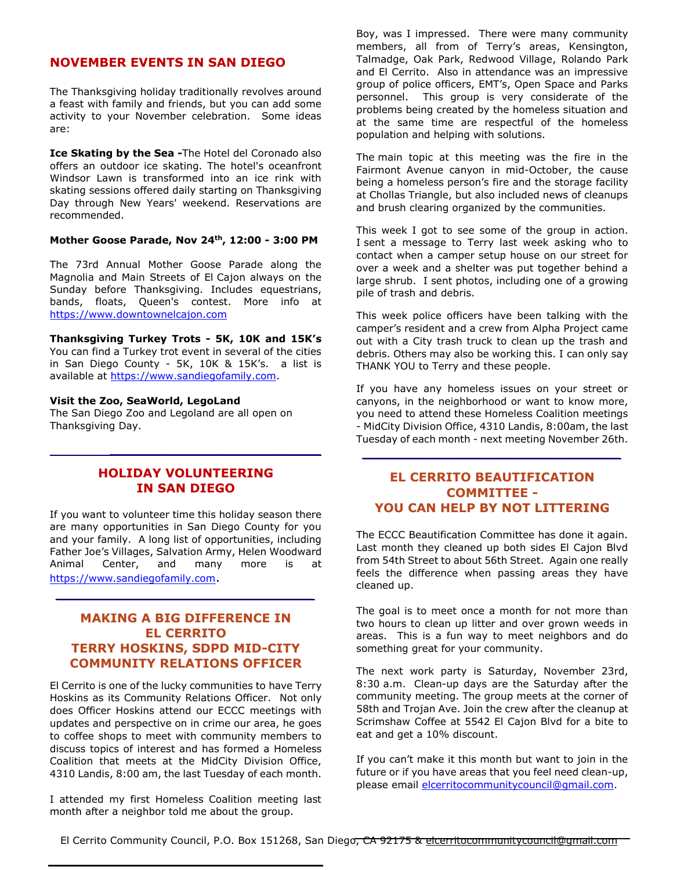#### **NOVEMBER EVENTS IN SAN DIEGO**

The Thanksgiving holiday traditionally revolves around a feast with family and friends, but you can add some activity to your November celebration. Some ideas are:

**Ice Skating by the Sea -**The Hotel del Coronado also offers an outdoor ice skating. The hotel's oceanfront Windsor Lawn is transformed into an ice rink with skating sessions offered daily starting on Thanksgiving Day through New Years' weekend. Reservations are recommended.

**[Mother Goose Parade,](https://www.tripsavvy.com/san-diego-mother-goose-parade-2936879) Nov 24th, 12:00 - 3:00 PM**

The 73rd Annual Mother Goose Parade along the Magnolia and Main Streets of El Cajon always on the Sunday before Thanksgiving. Includes equestrians, bands, floats, Queen's contest. More info at [https://www.downtownelcajon.com](http://www.downtownelcajon.com/)

**Thanksgiving Turkey Trots - 5K, 10K and 15K's**  You can find a Turkey trot event in several of the cities in San Diego County - 5K, 10K & 15K's. a list is available at [https://www.sandiegofamily.com.](https://www.sandiegofamily.com/)

#### **[Visit the Zoo, SeaWorld, LegoLand](https://www.tripsavvy.com/san-diego-theme-and-amusement-parks-2937197)**

The [San Diego Zoo](https://www.tripsavvy.com/san-diego-zoo-facts-2937398) and Legoland are all open on Thanksgiving Day.

#### **HOLIDAY VOLUNTEERING IN SAN DIEGO**

 *\_\_\_\_\_\_\_\_\_\_\_\_\_\_\_\_\_\_\_\_\_\_\_\_\_\_\_\_\_\_*

If you want to volunteer time this holiday season there are many opportunities in San Diego County for you and your family. A long list of opportunities, including Father Joe's Villages, Salvation Army, Helen Woodward Animal Center, and many more is at [https://www.sandiegofamily.com](https://www.sandiegofamily.com/).

*\_\_\_\_\_\_\_\_\_\_\_\_\_\_\_\_\_\_\_\_\_\_\_\_\_\_\_\_\_\_*

#### **MAKING A BIG DIFFERENCE IN EL CERRITO TERRY HOSKINS, SDPD MID-CITY COMMUNITY RELATIONS OFFICER**

El Cerrito is one of the lucky communities to have Terry Hoskins as its Community Relations Officer. Not only does Officer Hoskins attend our ECCC meetings with updates and perspective on in crime our area, he goes to coffee shops to meet with community members to discuss topics of interest and has formed a Homeless Coalition that meets at the MidCity Division Office, 4310 Landis, 8:00 am, the last Tuesday of each month.

I attended my first Homeless Coalition meeting last month after a neighbor told me about the group.

Boy, was I impressed. There were many community members, all from of Terry's areas, Kensington, Talmadge, Oak Park, Redwood Village, Rolando Park and El Cerrito. Also in attendance was an impressive group of police officers, EMT's, Open Space and Parks personnel. This group is very considerate of the problems being created by the homeless situation and at the same time are respectful of the homeless population and helping with solutions.

The main topic at this meeting was the fire in the Fairmont Avenue canyon in mid-October, the cause being a homeless person's fire and the storage facility at Chollas Triangle, but also included news of cleanups and brush clearing organized by the communities.

This week I got to see some of the group in action. I sent a message to Terry last week asking who to contact when a camper setup house on our street for over a week and a shelter was put together behind a large shrub. I sent photos, including one of a growing pile of trash and debris.

This week police officers have been talking with the camper's resident and a crew from Alpha Project came out with a City trash truck to clean up the trash and debris. Others may also be working this. I can only say THANK YOU to Terry and these people.

If you have any homeless issues on your street or canyons, in the neighborhood or want to know more, you need to attend these Homeless Coalition meetings - MidCity Division Office, 4310 Landis, 8:00am, the last Tuesday of each month - next meeting November 26th.

*\_\_\_\_\_\_\_\_\_\_\_\_\_\_\_\_\_\_\_\_\_\_\_\_\_\_\_\_\_\_*

#### **EL CERRITO BEAUTIFICATION COMMITTEE - YOU CAN HELP BY NOT LITTERING**

The ECCC Beautification Committee has done it again. Last month they cleaned up both sides El Cajon Blvd from 54th Street to about 56th Street. Again one really feels the difference when passing areas they have cleaned up.

The goal is to meet once a month for not more than two hours to clean up litter and over grown weeds in areas. This is a fun way to meet neighbors and do something great for your community.

The next work party is Saturday, November 23rd, 8:30 a.m. Clean-up days are the Saturday after the community meeting. The group meets at the corner of 58th and Trojan Ave. Join the crew after the cleanup at Scrimshaw Coffee at 5542 El Cajon Blvd for a bite to eat and get a 10% discount.

If you can't make it this month but want to join in the future or if you have areas that you feel need clean-up, please email [elcerritocommunitycouncil@gmail.com.](mailto:elcerritocommunitycouncil@gmail.com)

El Cerrito Community Council, P.O. Box 151268, San Diego, CA 92175 & elcerritocommunitycouncil@gmail.com